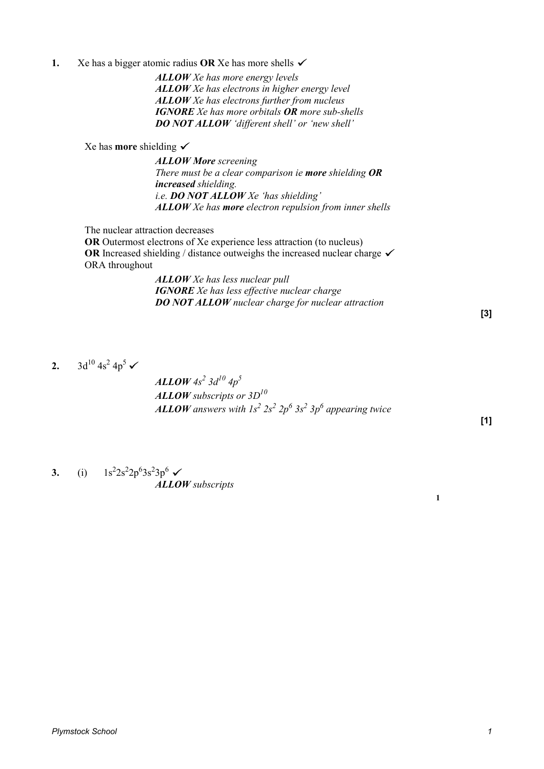**1.** Xe has a bigger atomic radius **OR** Xe has more shells  $\checkmark$ 

*ALLOW Xe has more energy levels ALLOW Xe has electrons in higher energy level ALLOW Xe has electrons further from nucleus IGNORE Xe has more orbitals OR more sub-shells DO NOT ALLOW 'different shell' or 'new shell'* 

Xe has **more** shielding

*ALLOW More screening There must be a clear comparison ie more shielding OR increased shielding. i.e. DO NOT ALLOW Xe 'has shielding' ALLOW Xe has more electron repulsion from inner shells* 

The nuclear attraction decreases

**OR** Outermost electrons of Xe experience less attraction (to nucleus) **OR** Increased shielding / distance outweighs the increased nuclear charge  $\checkmark$ ORA throughout

> *ALLOW Xe has less nuclear pull IGNORE Xe has less effective nuclear charge DO NOT ALLOW nuclear charge for nuclear attraction*

> > **[3]**

**2.**  $3d^{10} 4s^2 4p^5$ 

*ALLOW 4s<sup>2</sup> 3d10 4p<sup>5</sup> ALLOW subscripts or 3D<sup>10</sup> ALLOW* answers with  $1s^2 2s^2 2p^6 3s^2 3p^6$  appearing twice

**[1]** 

**1**

**3.** (i)  $1s^2 2s^2 2p^6 3s^2 3p^6$ *ALLOW subscripts*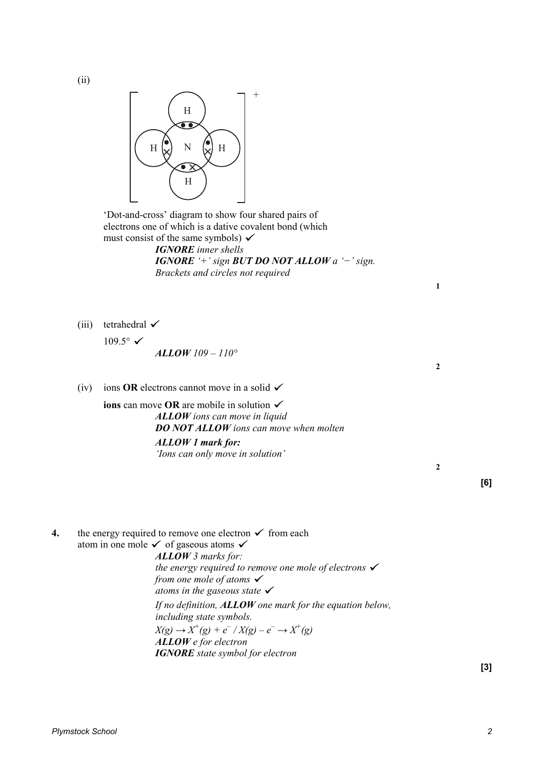(ii)



 'Dot-and-cross' diagram to show four shared pairs of electrons one of which is a dative covalent bond (which must consist of the same symbols)  $\checkmark$ *IGNORE inner shells IGNORE '+' sign BUT DO NOT ALLOW a '−' sign. Brackets and circles not required*

(iii) tetrahedral  $\checkmark$ 

 $109.5^\circ \checkmark$ *ALLOW 109 – 110°*

(iv) ions **OR** electrons cannot move in a solid  $\checkmark$ 

**ions** can move **OR** are mobile in solution *ALLOW ions can move in liquid DO NOT ALLOW ions can move when molten ALLOW 1 mark for: 'Ions can only move in solution'*

**2**

**1**

**2**

**4.** the energy required to remove one electron  $\checkmark$  from each atom in one mole  $\checkmark$  of gaseous atoms  $\checkmark$ *ALLOW 3 marks for: the energy required to remove one mole of electrons from one mole of atoms atoms in the gaseous state If no definition, ALLOW one mark for the equation below, including state symbols.*  $X(g) \to X^+(g) + e^- / X(g) - e^- \to X^+(g)$ *ALLOW e for electron IGNORE state symbol for electron*

**[3]**

**[6]**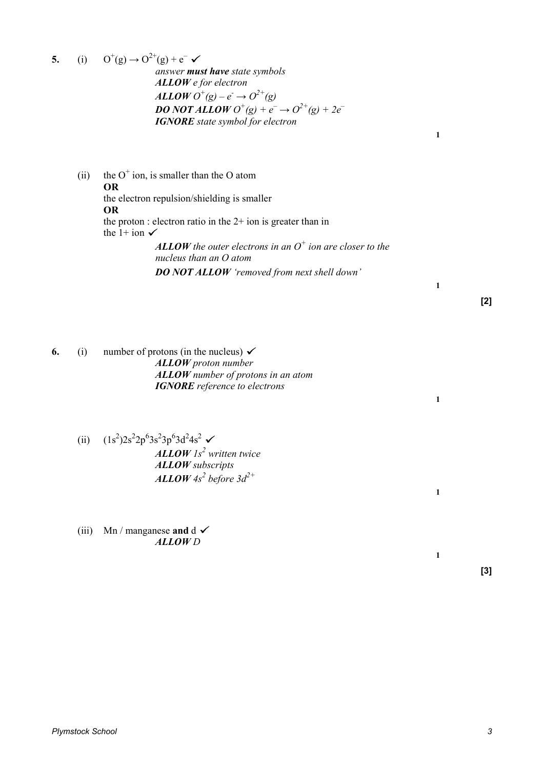**5.** (i)  $O^+(g) \rightarrow O^{2+}(g) + e^$ *answer must have state symbols ALLOW e for electron ALLOW*  $O^{+}(g) - e^{-} \rightarrow O^{2+}(g)$ *DO NOT ALLOW*  $O^{+}(g) + e^{-} \rightarrow O^{2+}(g) + 2e^{-}$ *IGNORE state symbol for electron*

**1**

**1**

**1**

**1**

**1**

(ii) the  $O^+$  ion, is smaller than the O atom **OR** the electron repulsion/shielding is smaller **OR** the proton : electron ratio in the 2+ ion is greater than in the 1+ ion  $\checkmark$ *ALLOW the outer electrons in an O<sup>+</sup> ion are closer to the* 

*nucleus than an O atom DO NOT ALLOW 'removed from next shell down'*

**[2]**

**6.** (i) number of protons (in the nucleus)  $\checkmark$ *ALLOW proton number ALLOW number of protons in an atom IGNORE reference to electrons*

- (ii)  $(1s^2)2s^22p^63s^23p^63d^24s^2$ *ALLOW 1s<sup>2</sup> written twice ALLOW subscripts ALLOW 4s<sup>2</sup> before 3d2+*
- (iii) Mn / manganese **and**  $d \checkmark$ *ALLOW D*

**[3]**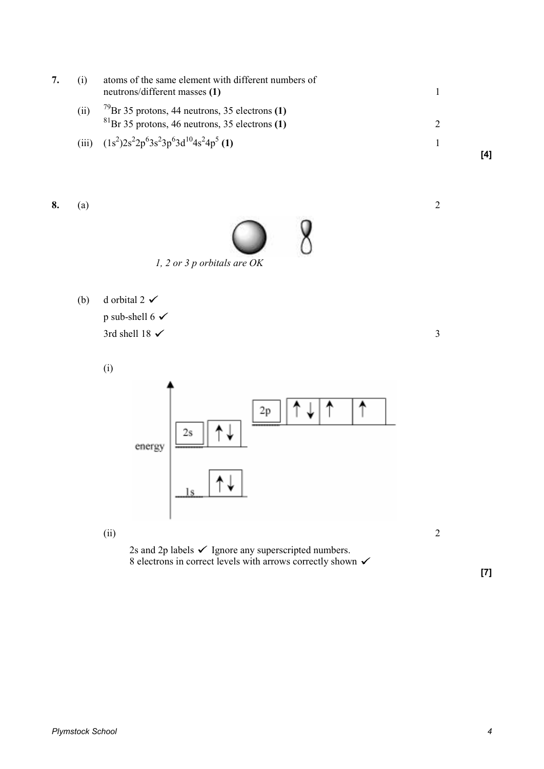

**8.** (a) 2



*1, 2 or 3 p orbitals are OK* 

(b) d orbital 2  $\checkmark$ p sub-shell 6  $\checkmark$  $3$ rd shell 18  $\checkmark$  3

(i)



2s and 2p labels  $\checkmark$  Ignore any superscripted numbers. 8 electrons in correct levels with arrows correctly shown  $\checkmark$ 

**[7]**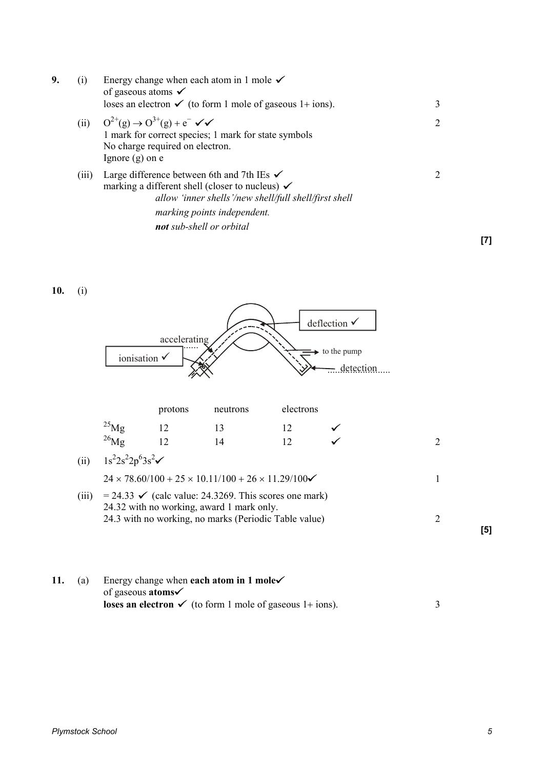| 9. | (i)   | Energy change when each atom in 1 mole $\checkmark$<br>of gaseous atoms $\checkmark$<br>loses an electron $\checkmark$ (to form 1 mole of gaseous 1+ ions).                                                                             | 3 |
|----|-------|-----------------------------------------------------------------------------------------------------------------------------------------------------------------------------------------------------------------------------------------|---|
|    |       | (ii) $Q^{2+}(g) \to Q^{3+}(g) + e^{-} \checkmark$<br>1 mark for correct species; 1 mark for state symbols<br>No charge required on electron.<br>Ignore $(g)$ on $e$                                                                     | 2 |
|    | (iii) | Large difference between 6th and 7th IEs $\checkmark$<br>marking a different shell (closer to nucleus) $\checkmark$<br>allow 'inner shells'/new shell/full shell/first shell<br>marking points independent.<br>not sub-shell or orbital | 2 |
|    |       |                                                                                                                                                                                                                                         |   |

**10.** (i)



| 11. | (a) | Energy change when each atom in 1 mole $\checkmark$                        |  |
|-----|-----|----------------------------------------------------------------------------|--|
|     |     | of gaseous <b>atoms</b>                                                    |  |
|     |     | <b>loses an electron</b> $\checkmark$ (to form 1 mole of gaseous 1+ ions). |  |

**[7]**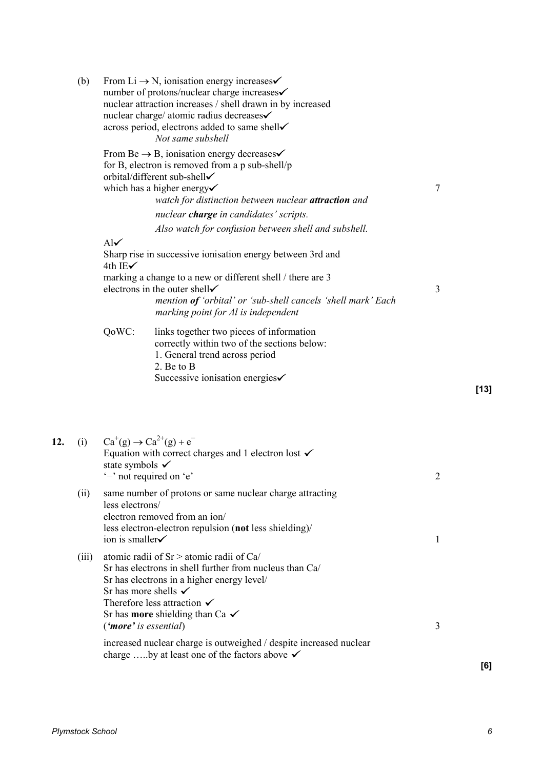| (b)   |                                                          | From Li $\rightarrow$ N, ionisation energy increases<br>number of protons/nuclear charge increases <del>√</del><br>nuclear attraction increases / shell drawn in by increased<br>nuclear charge/ atomic radius decreases√<br>across period, electrons added to same shell<br>Not same subshell                                                                                       |                |        |
|-------|----------------------------------------------------------|--------------------------------------------------------------------------------------------------------------------------------------------------------------------------------------------------------------------------------------------------------------------------------------------------------------------------------------------------------------------------------------|----------------|--------|
|       |                                                          | From Be $\rightarrow$ B, ionisation energy decreases<br>for B, electron is removed from a p sub-shell/p<br>orbital/different sub-shell√<br>which has a higher energy<br>watch for distinction between nuclear attraction and                                                                                                                                                         | $\tau$         |        |
|       |                                                          | nuclear charge in candidates' scripts.<br>Also watch for confusion between shell and subshell.                                                                                                                                                                                                                                                                                       |                |        |
|       | $\mathbf{Al}\checkmark$<br>4th IE $\checkmark$           | Sharp rise in successive ionisation energy between 3rd and<br>marking a change to a new or different shell / there are 3<br>electrons in the outer shell<br>mention of 'orbital' or 'sub-shell cancels 'shell mark' Each<br>marking point for Al is independent                                                                                                                      | 3              |        |
|       | QoWC:                                                    | links together two pieces of information<br>correctly within two of the sections below:<br>1. General trend across period<br>2. Be to B<br>Successive ionisation energies <del>√</del>                                                                                                                                                                                               |                | $[13]$ |
| (i)   | state symbols $\checkmark$                               | $Ca^+(g) \to Ca^{2+}(g) + e^-$<br>Equation with correct charges and 1 electron lost $\checkmark$<br>'-' not required on 'e'                                                                                                                                                                                                                                                          | $\overline{2}$ |        |
| (ii)  | less electrons/<br>ion is smaller                        | same number of protons or same nuclear charge attracting<br>electron removed from an ion/<br>less electron-electron repulsion (not less shielding)/                                                                                                                                                                                                                                  | 1              |        |
| (iii) | Sr has more shells $\checkmark$<br>('more' is essential) | atomic radii of $Sr >$ atomic radii of Ca/<br>Sr has electrons in shell further from nucleus than Ca/<br>Sr has electrons in a higher energy level/<br>Therefore less attraction $\checkmark$<br>Sr has <b>more</b> shielding than Ca $\checkmark$<br>increased nuclear charge is outweighed / despite increased nuclear<br>charge by at least one of the factors above $\checkmark$ | 3              |        |
|       |                                                          |                                                                                                                                                                                                                                                                                                                                                                                      |                | [6]    |

 $12.$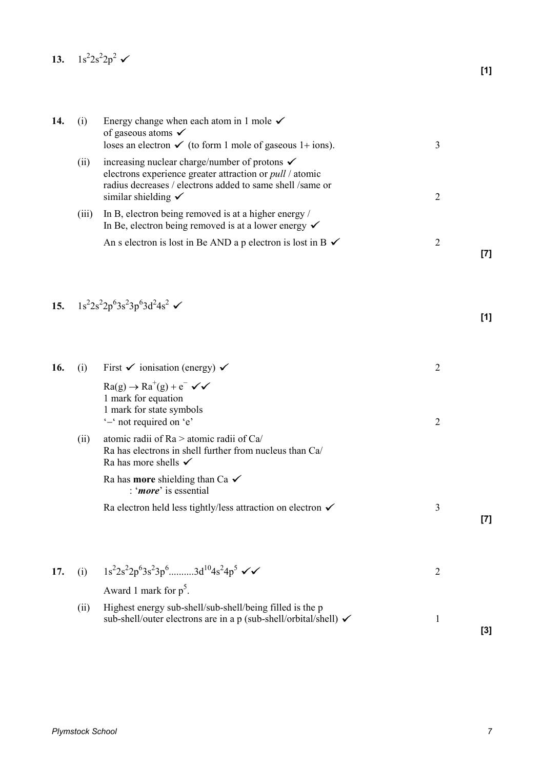13.  $1s^2 2s^2 2p^2$ 

| 14. | (i)   | Energy change when each atom in 1 mole $\checkmark$<br>of gaseous atoms $\checkmark$<br>loses an electron $\checkmark$ (to form 1 mole of gaseous 1+ ions).                                                                | 3              |     |
|-----|-------|----------------------------------------------------------------------------------------------------------------------------------------------------------------------------------------------------------------------------|----------------|-----|
|     | (ii)  | increasing nuclear charge/number of protons $\checkmark$<br>electrons experience greater attraction or <i>pull</i> / atomic<br>radius decreases / electrons added to same shell /same or<br>similar shielding $\checkmark$ | $\overline{2}$ |     |
|     | (iii) | In B, electron being removed is at a higher energy /<br>In Be, electron being removed is at a lower energy $\checkmark$                                                                                                    |                |     |
|     |       | An s electron is lost in Be AND a p electron is lost in B $\checkmark$                                                                                                                                                     | $\overline{2}$ | [7] |
| 15. |       | $1s^22s^22p^63s^23p^63d^24s^2$ $\checkmark$                                                                                                                                                                                |                | [1] |
| 16. | (i)   | First $\checkmark$ ionisation (energy) $\checkmark$                                                                                                                                                                        | $\overline{2}$ |     |
|     |       | $Ra(g) \rightarrow Ra^{+}(g) + e^{-} \sqrt{\checkmark}$<br>1 mark for equation<br>1 mark for state symbols<br>'-' not required on 'e'                                                                                      | $\overline{2}$ |     |
|     | (ii)  | atomic radii of Ra > atomic radii of Ca/<br>Ra has electrons in shell further from nucleus than Ca/<br>Ra has more shells $\checkmark$                                                                                     |                |     |
|     |       | Ra has <b>more</b> shielding than Ca $\checkmark$<br>: ' <i>more</i> ' is essential                                                                                                                                        |                |     |
|     |       | Ra electron held less tightly/less attraction on electron $\checkmark$                                                                                                                                                     | $\mathfrak{Z}$ | [7] |
|     |       | $1s^22s^22p^63s^23p^6$ 3d <sup>10</sup> 4s <sup>2</sup> 4p <sup>5</sup> $\checkmark$                                                                                                                                       |                |     |
| 17. | (i)   | Award 1 mark for $p^5$ .                                                                                                                                                                                                   | $\overline{2}$ |     |
|     | (ii)  | Highest energy sub-shell/sub-shell/being filled is the p<br>sub-shell/outer electrons are in a p (sub-shell/orbital/shell) ✓                                                                                               | $\mathbf{1}$   | [3] |
|     |       |                                                                                                                                                                                                                            |                |     |